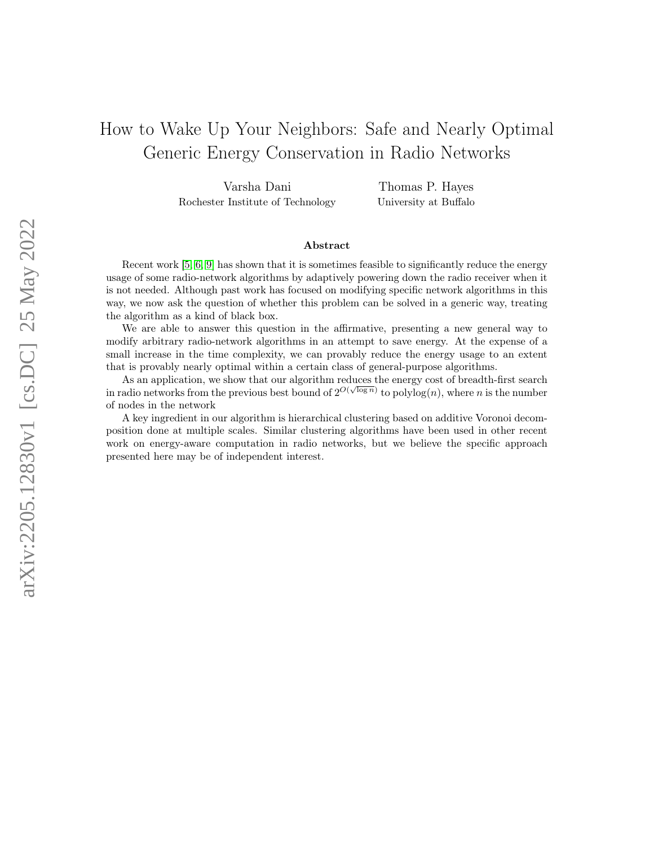# How to Wake Up Your Neighbors: Safe and Nearly Optimal Generic Energy Conservation in Radio Networks

Varsha Dani Rochester Institute of Technology

Thomas P. Hayes University at Buffalo

#### Abstract

Recent work [\[5,](#page-20-0) [6,](#page-20-1) [9\]](#page-20-2) has shown that it is sometimes feasible to significantly reduce the energy usage of some radio-network algorithms by adaptively powering down the radio receiver when it is not needed. Although past work has focused on modifying specific network algorithms in this way, we now ask the question of whether this problem can be solved in a generic way, treating the algorithm as a kind of black box.

We are able to answer this question in the affirmative, presenting a new general way to modify arbitrary radio-network algorithms in an attempt to save energy. At the expense of a small increase in the time complexity, we can provably reduce the energy usage to an extent that is provably nearly optimal within a certain class of general-purpose algorithms.

As an application, we show that our algorithm reduces the energy cost of breadth-first search in radio networks from the previous best bound of  $2^{O(\sqrt{\log n})}$  to polylog $(n)$ , where n is the number of nodes in the network

A key ingredient in our algorithm is hierarchical clustering based on additive Voronoi decomposition done at multiple scales. Similar clustering algorithms have been used in other recent work on energy-aware computation in radio networks, but we believe the specific approach presented here may be of independent interest.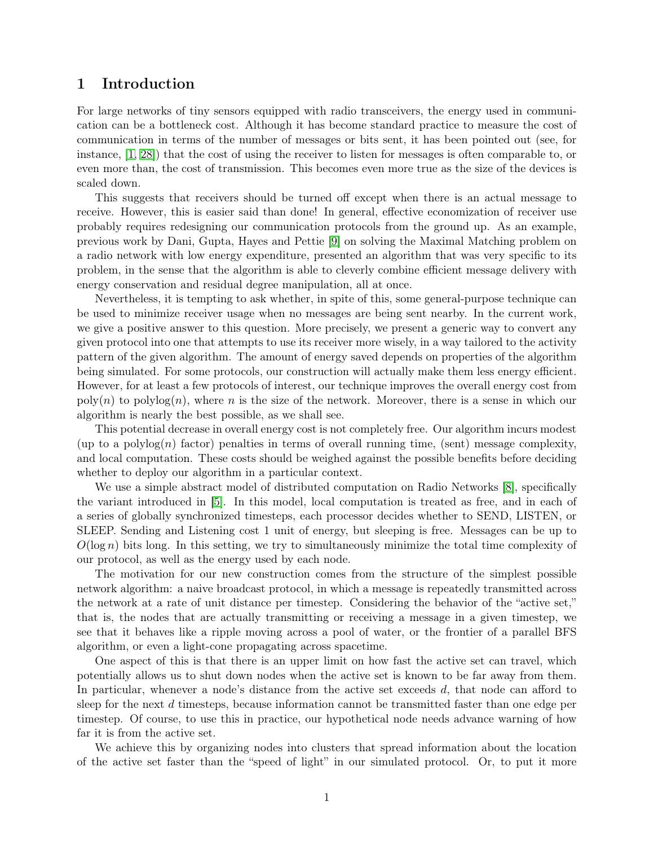# 1 Introduction

For large networks of tiny sensors equipped with radio transceivers, the energy used in communication can be a bottleneck cost. Although it has become standard practice to measure the cost of communication in terms of the number of messages or bits sent, it has been pointed out (see, for instance, [\[1,](#page-19-0) [28\]](#page-21-0)) that the cost of using the receiver to listen for messages is often comparable to, or even more than, the cost of transmission. This becomes even more true as the size of the devices is scaled down.

This suggests that receivers should be turned off except when there is an actual message to receive. However, this is easier said than done! In general, effective economization of receiver use probably requires redesigning our communication protocols from the ground up. As an example, previous work by Dani, Gupta, Hayes and Pettie [\[9\]](#page-20-2) on solving the Maximal Matching problem on a radio network with low energy expenditure, presented an algorithm that was very specific to its problem, in the sense that the algorithm is able to cleverly combine efficient message delivery with energy conservation and residual degree manipulation, all at once.

Nevertheless, it is tempting to ask whether, in spite of this, some general-purpose technique can be used to minimize receiver usage when no messages are being sent nearby. In the current work, we give a positive answer to this question. More precisely, we present a generic way to convert any given protocol into one that attempts to use its receiver more wisely, in a way tailored to the activity pattern of the given algorithm. The amount of energy saved depends on properties of the algorithm being simulated. For some protocols, our construction will actually make them less energy efficient. However, for at least a few protocols of interest, our technique improves the overall energy cost from  $\text{poly}(n)$  to  $\text{polylog}(n)$ , where n is the size of the network. Moreover, there is a sense in which our algorithm is nearly the best possible, as we shall see.

This potential decrease in overall energy cost is not completely free. Our algorithm incurs modest (up to a polylog(n) factor) penalties in terms of overall running time, (sent) message complexity, and local computation. These costs should be weighed against the possible benefits before deciding whether to deploy our algorithm in a particular context.

We use a simple abstract model of distributed computation on Radio Networks [\[8\]](#page-20-3), specifically the variant introduced in [\[5\]](#page-20-0). In this model, local computation is treated as free, and in each of a series of globally synchronized timesteps, each processor decides whether to SEND, LISTEN, or SLEEP. Sending and Listening cost 1 unit of energy, but sleeping is free. Messages can be up to  $O(\log n)$  bits long. In this setting, we try to simultaneously minimize the total time complexity of our protocol, as well as the energy used by each node.

The motivation for our new construction comes from the structure of the simplest possible network algorithm: a naive broadcast protocol, in which a message is repeatedly transmitted across the network at a rate of unit distance per timestep. Considering the behavior of the "active set," that is, the nodes that are actually transmitting or receiving a message in a given timestep, we see that it behaves like a ripple moving across a pool of water, or the frontier of a parallel BFS algorithm, or even a light-cone propagating across spacetime.

One aspect of this is that there is an upper limit on how fast the active set can travel, which potentially allows us to shut down nodes when the active set is known to be far away from them. In particular, whenever a node's distance from the active set exceeds d, that node can afford to sleep for the next d timesteps, because information cannot be transmitted faster than one edge per timestep. Of course, to use this in practice, our hypothetical node needs advance warning of how far it is from the active set.

We achieve this by organizing nodes into clusters that spread information about the location of the active set faster than the "speed of light" in our simulated protocol. Or, to put it more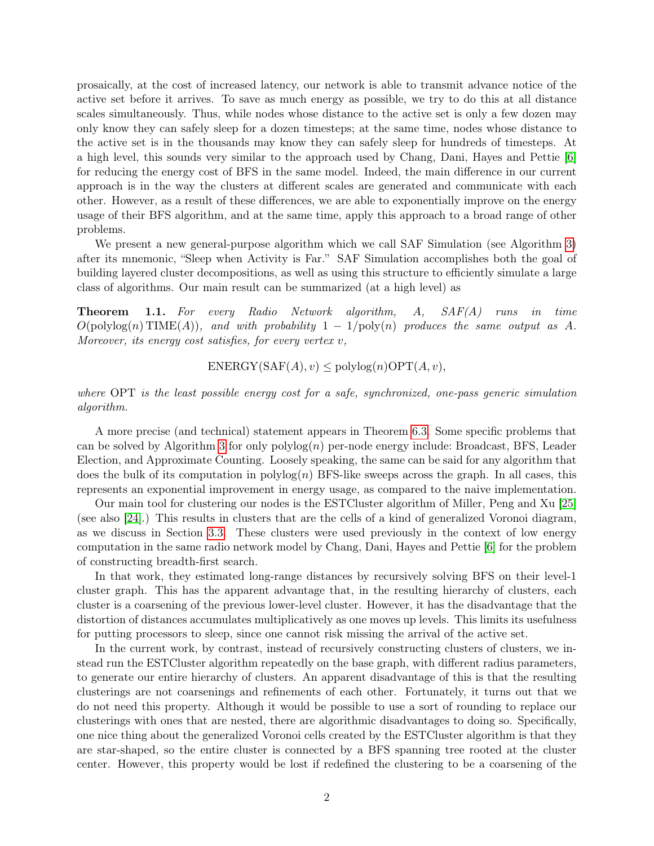prosaically, at the cost of increased latency, our network is able to transmit advance notice of the active set before it arrives. To save as much energy as possible, we try to do this at all distance scales simultaneously. Thus, while nodes whose distance to the active set is only a few dozen may only know they can safely sleep for a dozen timesteps; at the same time, nodes whose distance to the active set is in the thousands may know they can safely sleep for hundreds of timesteps. At a high level, this sounds very similar to the approach used by Chang, Dani, Hayes and Pettie [\[6\]](#page-20-1) for reducing the energy cost of BFS in the same model. Indeed, the main difference in our current approach is in the way the clusters at different scales are generated and communicate with each other. However, as a result of these differences, we are able to exponentially improve on the energy usage of their BFS algorithm, and at the same time, apply this approach to a broad range of other problems.

We present a new general-purpose algorithm which we call SAF Simulation (see Algorithm [3\)](#page-16-0) after its mnemonic, "Sleep when Activity is Far." SAF Simulation accomplishes both the goal of building layered cluster decompositions, as well as using this structure to efficiently simulate a large class of algorithms. Our main result can be summarized (at a high level) as

**Theorem 1.1.** For every Radio Network algorithm, A, SAF(A) runs in time  $O(polylog(n) \text{TIME}(A))$ , and with probability  $1 - 1/poly(n)$  produces the same output as A. Moreover, its energy cost satisfies, for every vertex v,

 $ENERGY(SAF(A), v) \leq polylog(n) \text{OPT}(A, v),$ 

where OPT is the least possible energy cost for a safe, synchronized, one-pass generic simulation algorithm.

A more precise (and technical) statement appears in Theorem [6.3.](#page-17-0) Some specific problems that can be solved by Algorithm [3](#page-16-0) for only  $\text{polylog}(n)$  per-node energy include: Broadcast, BFS, Leader Election, and Approximate Counting. Loosely speaking, the same can be said for any algorithm that does the bulk of its computation in  $\text{polylog}(n)$  BFS-like sweeps across the graph. In all cases, this represents an exponential improvement in energy usage, as compared to the naive implementation.

Our main tool for clustering our nodes is the ESTCluster algorithm of Miller, Peng and Xu [\[25\]](#page-21-1) (see also [\[24\]](#page-21-2).) This results in clusters that are the cells of a kind of generalized Voronoi diagram, as we discuss in Section [3.3.](#page-7-0) These clusters were used previously in the context of low energy computation in the same radio network model by Chang, Dani, Hayes and Pettie [\[6\]](#page-20-1) for the problem of constructing breadth-first search.

In that work, they estimated long-range distances by recursively solving BFS on their level-1 cluster graph. This has the apparent advantage that, in the resulting hierarchy of clusters, each cluster is a coarsening of the previous lower-level cluster. However, it has the disadvantage that the distortion of distances accumulates multiplicatively as one moves up levels. This limits its usefulness for putting processors to sleep, since one cannot risk missing the arrival of the active set.

In the current work, by contrast, instead of recursively constructing clusters of clusters, we instead run the ESTCluster algorithm repeatedly on the base graph, with different radius parameters, to generate our entire hierarchy of clusters. An apparent disadvantage of this is that the resulting clusterings are not coarsenings and refinements of each other. Fortunately, it turns out that we do not need this property. Although it would be possible to use a sort of rounding to replace our clusterings with ones that are nested, there are algorithmic disadvantages to doing so. Specifically, one nice thing about the generalized Voronoi cells created by the ESTCluster algorithm is that they are star-shaped, so the entire cluster is connected by a BFS spanning tree rooted at the cluster center. However, this property would be lost if redefined the clustering to be a coarsening of the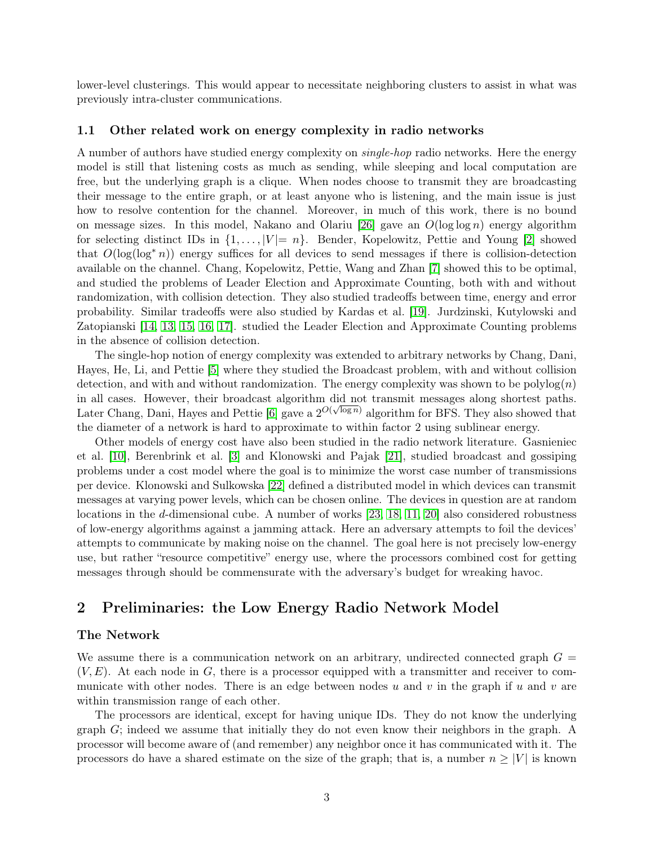lower-level clusterings. This would appear to necessitate neighboring clusters to assist in what was previously intra-cluster communications.

#### 1.1 Other related work on energy complexity in radio networks

A number of authors have studied energy complexity on single-hop radio networks. Here the energy model is still that listening costs as much as sending, while sleeping and local computation are free, but the underlying graph is a clique. When nodes choose to transmit they are broadcasting their message to the entire graph, or at least anyone who is listening, and the main issue is just how to resolve contention for the channel. Moreover, in much of this work, there is no bound on message sizes. In this model, Nakano and Olariu [\[26\]](#page-21-3) gave an  $O(\log \log n)$  energy algorithm for selecting distinct IDs in  $\{1, \ldots, |V| = n\}$ . Bender, Kopelowitz, Pettie and Young [\[2\]](#page-19-1) showed that  $O(\log(\log^* n))$  energy suffices for all devices to send messages if there is collision-detection available on the channel. Chang, Kopelowitz, Pettie, Wang and Zhan [\[7\]](#page-20-4) showed this to be optimal, and studied the problems of Leader Election and Approximate Counting, both with and without randomization, with collision detection. They also studied tradeoffs between time, energy and error probability. Similar tradeoffs were also studied by Kardas et al. [\[19\]](#page-21-4). Jurdzinski, Kutylowski and Zatopianski [\[14,](#page-20-5) [13,](#page-20-6) [15,](#page-20-7) [16,](#page-20-8) [17\]](#page-21-5). studied the Leader Election and Approximate Counting problems in the absence of collision detection.

The single-hop notion of energy complexity was extended to arbitrary networks by Chang, Dani, Hayes, He, Li, and Pettie [\[5\]](#page-20-0) where they studied the Broadcast problem, with and without collision detection, and with and without randomization. The energy complexity was shown to be polylog $(n)$ in all cases. However, their broadcast algorithm did not transmit messages along shortest paths. Later Chang, Dani, Hayes and Pettie [\[6\]](#page-20-1) gave a  $2^{O(\sqrt{\log n})}$  algorithm for BFS. They also showed that the diameter of a network is hard to approximate to within factor 2 using sublinear energy.

Other models of energy cost have also been studied in the radio network literature. Gasnieniec et al. [\[10\]](#page-20-9), Berenbrink et al. [\[3\]](#page-20-10) and Klonowski and Pajak [\[21\]](#page-21-6), studied broadcast and gossiping problems under a cost model where the goal is to minimize the worst case number of transmissions per device. Klonowski and Sulkowska [\[22\]](#page-21-7) defined a distributed model in which devices can transmit messages at varying power levels, which can be chosen online. The devices in question are at random locations in the d-dimensional cube. A number of works [\[23,](#page-21-8) [18,](#page-21-9) [11,](#page-20-11) [20\]](#page-21-10) also considered robustness of low-energy algorithms against a jamming attack. Here an adversary attempts to foil the devices' attempts to communicate by making noise on the channel. The goal here is not precisely low-energy use, but rather "resource competitive" energy use, where the processors combined cost for getting messages through should be commensurate with the adversary's budget for wreaking havoc.

# 2 Preliminaries: the Low Energy Radio Network Model

#### The Network

We assume there is a communication network on an arbitrary, undirected connected graph  $G =$  $(V, E)$ . At each node in G, there is a processor equipped with a transmitter and receiver to communicate with other nodes. There is an edge between nodes u and v in the graph if u and v are within transmission range of each other.

The processors are identical, except for having unique IDs. They do not know the underlying graph G; indeed we assume that initially they do not even know their neighbors in the graph. A processor will become aware of (and remember) any neighbor once it has communicated with it. The processors do have a shared estimate on the size of the graph; that is, a number  $n \geq |V|$  is known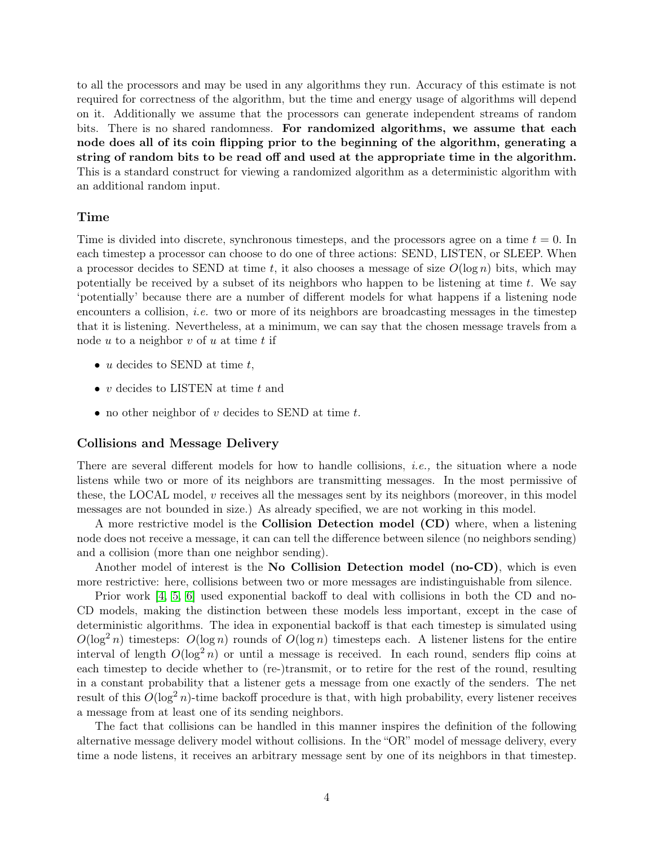to all the processors and may be used in any algorithms they run. Accuracy of this estimate is not required for correctness of the algorithm, but the time and energy usage of algorithms will depend on it. Additionally we assume that the processors can generate independent streams of random bits. There is no shared randomness. For randomized algorithms, we assume that each node does all of its coin flipping prior to the beginning of the algorithm, generating a string of random bits to be read off and used at the appropriate time in the algorithm. This is a standard construct for viewing a randomized algorithm as a deterministic algorithm with an additional random input.

#### Time

Time is divided into discrete, synchronous timesteps, and the processors agree on a time  $t = 0$ . In each timestep a processor can choose to do one of three actions: SEND, LISTEN, or SLEEP. When a processor decides to SEND at time t, it also chooses a message of size  $O(\log n)$  bits, which may potentially be received by a subset of its neighbors who happen to be listening at time  $t$ . We say 'potentially' because there are a number of different models for what happens if a listening node encounters a collision, *i.e.* two or more of its neighbors are broadcasting messages in the timestep that it is listening. Nevertheless, at a minimum, we can say that the chosen message travels from a node  $u$  to a neighbor  $v$  of  $u$  at time  $t$  if

- $u$  decides to SEND at time  $t$ ,
- v decides to LISTEN at time  $t$  and
- no other neighbor of v decides to SEND at time  $t$ .

#### Collisions and Message Delivery

There are several different models for how to handle collisions, *i.e.*, the situation where a node listens while two or more of its neighbors are transmitting messages. In the most permissive of these, the LOCAL model, v receives all the messages sent by its neighbors (moreover, in this model messages are not bounded in size.) As already specified, we are not working in this model.

A more restrictive model is the Collision Detection model (CD) where, when a listening node does not receive a message, it can can tell the difference between silence (no neighbors sending) and a collision (more than one neighbor sending).

Another model of interest is the No Collision Detection model (no-CD), which is even more restrictive: here, collisions between two or more messages are indistinguishable from silence.

Prior work [\[4,](#page-20-12) [5,](#page-20-0) [6\]](#page-20-1) used exponential backoff to deal with collisions in both the CD and no-CD models, making the distinction between these models less important, except in the case of deterministic algorithms. The idea in exponential backoff is that each timestep is simulated using  $O(\log^2 n)$  timesteps:  $O(\log n)$  rounds of  $O(\log n)$  timesteps each. A listener listens for the entire interval of length  $O(\log^2 n)$  or until a message is received. In each round, senders flip coins at each timestep to decide whether to (re-)transmit, or to retire for the rest of the round, resulting in a constant probability that a listener gets a message from one exactly of the senders. The net result of this  $O(\log^2 n)$ -time backoff procedure is that, with high probability, every listener receives a message from at least one of its sending neighbors.

The fact that collisions can be handled in this manner inspires the definition of the following alternative message delivery model without collisions. In the "OR" model of message delivery, every time a node listens, it receives an arbitrary message sent by one of its neighbors in that timestep.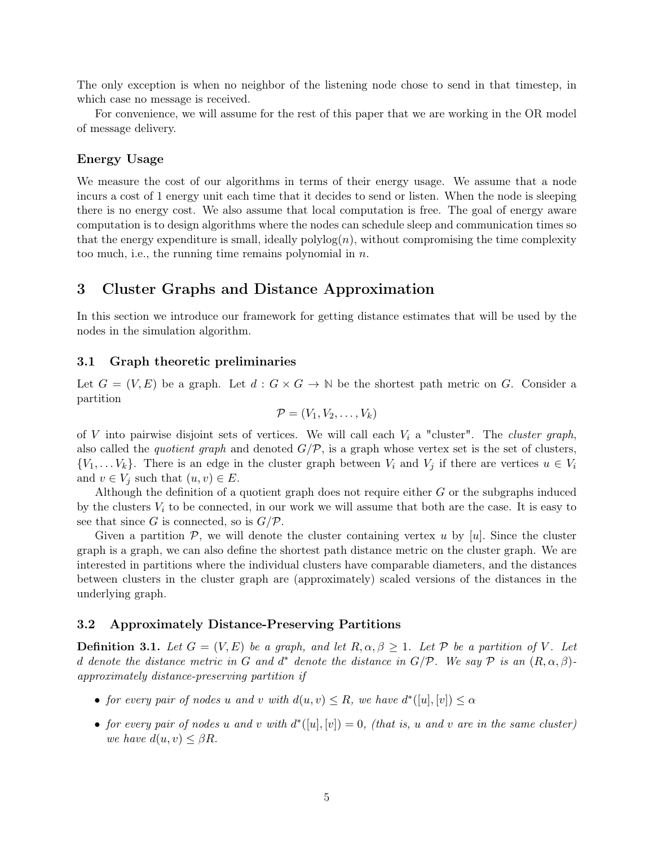The only exception is when no neighbor of the listening node chose to send in that timestep, in which case no message is received.

For convenience, we will assume for the rest of this paper that we are working in the OR model of message delivery.

#### Energy Usage

We measure the cost of our algorithms in terms of their energy usage. We assume that a node incurs a cost of 1 energy unit each time that it decides to send or listen. When the node is sleeping there is no energy cost. We also assume that local computation is free. The goal of energy aware computation is to design algorithms where the nodes can schedule sleep and communication times so that the energy expenditure is small, ideally  $\text{polylog}(n)$ , without compromising the time complexity too much, i.e., the running time remains polynomial in  $n$ .

# 3 Cluster Graphs and Distance Approximation

In this section we introduce our framework for getting distance estimates that will be used by the nodes in the simulation algorithm.

#### 3.1 Graph theoretic preliminaries

Let  $G = (V, E)$  be a graph. Let  $d : G \times G \to \mathbb{N}$  be the shortest path metric on G. Consider a partition

$$
\mathcal{P}=(V_1,V_2,\ldots,V_k)
$$

of V into pairwise disjoint sets of vertices. We will call each  $V_i$  a "cluster". The *cluster graph*, also called the *quotient graph* and denoted  $G/P$ , is a graph whose vertex set is the set of clusters,  $\{V_1, \ldots V_k\}$ . There is an edge in the cluster graph between  $V_i$  and  $V_j$  if there are vertices  $u \in V_i$ and  $v \in V_j$  such that  $(u, v) \in E$ .

Although the definition of a quotient graph does not require either G or the subgraphs induced by the clusters  $V_i$  to be connected, in our work we will assume that both are the case. It is easy to see that since G is connected, so is  $G/P$ .

Given a partition  $P$ , we will denote the cluster containing vertex u by [u]. Since the cluster graph is a graph, we can also define the shortest path distance metric on the cluster graph. We are interested in partitions where the individual clusters have comparable diameters, and the distances between clusters in the cluster graph are (approximately) scaled versions of the distances in the underlying graph.

#### 3.2 Approximately Distance-Preserving Partitions

**Definition 3.1.** Let  $G = (V, E)$  be a graph, and let  $R, \alpha, \beta \geq 1$ . Let  $P$  be a partition of V. Let d denote the distance metric in G and d<sup>\*</sup> denote the distance in  $G/P$ . We say  $P$  is an  $(R, \alpha, \beta)$ approximately distance-preserving partition if

- for every pair of nodes u and v with  $d(u, v) \leq R$ , we have  $d^*([u], [v]) \leq \alpha$
- for every pair of nodes u and v with  $d^*([u],[v]) = 0$ , (that is, u and v are in the same cluster) we have  $d(u, v) \leq \beta R$ .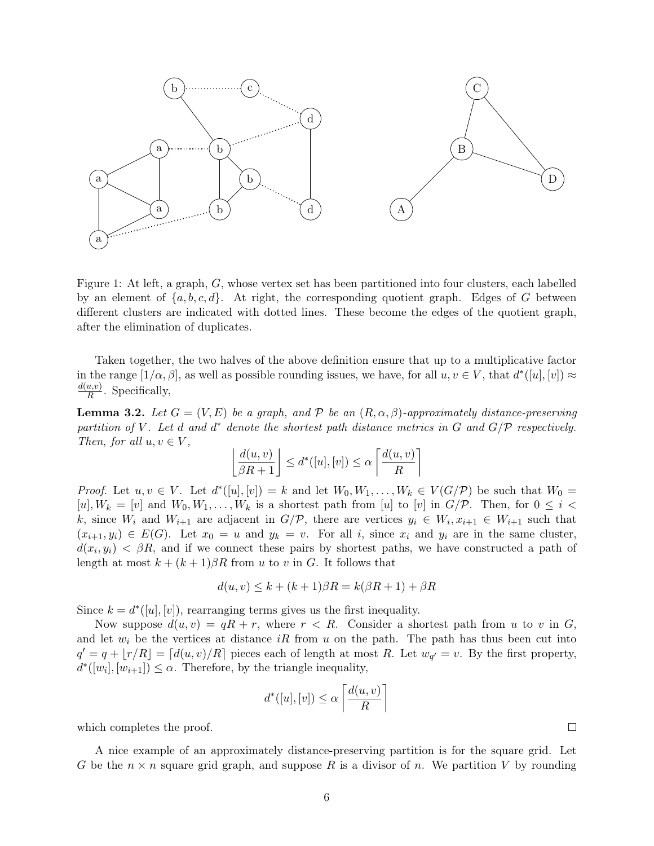

Figure 1: At left, a graph, G, whose vertex set has been partitioned into four clusters, each labelled by an element of  $\{a, b, c, d\}$ . At right, the corresponding quotient graph. Edges of G between different clusters are indicated with dotted lines. These become the edges of the quotient graph, after the elimination of duplicates.

Taken together, the two halves of the above definition ensure that up to a multiplicative factor in the range  $[1/\alpha, \beta]$ , as well as possible rounding issues, we have, for all  $u, v \in V$ , that  $d^*([u], [v]) \approx$  $d(u,v)$  $\frac{u,v}{R}$ . Specifically,

<span id="page-6-0"></span>**Lemma 3.2.** Let  $G = (V, E)$  be a graph, and  $P$  be an  $(R, \alpha, \beta)$ -approximately distance-preserving partition of V. Let d and  $d^*$  denote the shortest path distance metrics in G and  $G/P$  respectively. Then, for all  $u, v \in V$ ,

$$
\left\lfloor \frac{d(u,v)}{\beta R+1} \right\rfloor \leq d^*([u],[v]) \leq \alpha \left\lceil \frac{d(u,v)}{R} \right\rceil
$$

*Proof.* Let  $u, v \in V$ . Let  $d^*([u], [v]) = k$  and let  $W_0, W_1, \ldots, W_k \in V(G/\mathcal{P})$  be such that  $W_0 =$  $[u], W_k = [v]$  and  $W_0, W_1, \ldots, W_k$  is a shortest path from [u] to [v] in  $G/P$ . Then, for  $0 \leq i <$ k, since  $W_i$  and  $W_{i+1}$  are adjacent in  $G/\mathcal{P}$ , there are vertices  $y_i \in W_i$ ,  $x_{i+1} \in W_{i+1}$  such that  $(x_{i+1}, y_i) \in E(G)$ . Let  $x_0 = u$  and  $y_k = v$ . For all i, since  $x_i$  and  $y_i$  are in the same cluster,  $d(x_i, y_i) < \beta R$ , and if we connect these pairs by shortest paths, we have constructed a path of length at most  $k + (k+1)\beta R$  from u to v in G. It follows that

$$
d(u, v) \le k + (k+1)\beta R = k(\beta R + 1) + \beta R
$$

Since  $k = d^*([u], [v])$ , rearranging terms gives us the first inequality.

Now suppose  $d(u, v) = qR + r$ , where  $r < R$ . Consider a shortest path from u to v in G, and let  $w_i$  be the vertices at distance iR from u on the path. The path has thus been cut into  $q' = q + \lfloor r/R \rfloor = \lceil d(u, v)/R \rceil$  pieces each of length at most R. Let  $w_{q'} = v$ . By the first property,  $d^*([w_i], [w_{i+1}]) \leq \alpha$ . Therefore, by the triangle inequality,

$$
d^*([u],[v]) \le \alpha \left\lceil \frac{d(u,v)}{R} \right\rceil
$$

which completes the proof.

A nice example of an approximately distance-preserving partition is for the square grid. Let G be the  $n \times n$  square grid graph, and suppose R is a divisor of n. We partition V by rounding

 $\Box$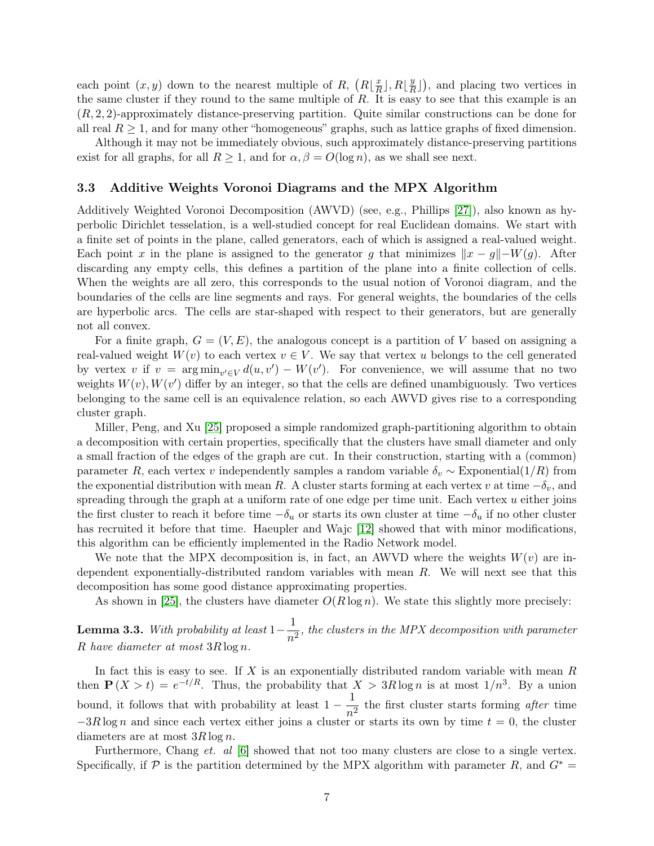each point  $(x, y)$  down to the nearest multiple of R,  $(R|\frac{x}{B})$  $\frac{x}{R}$ ],  $R\lfloor \frac{y}{R}$  $\frac{y}{R}$ ), and placing two vertices in the same cluster if they round to the same multiple of  $R$ . It is easy to see that this example is an (R, 2, 2)-approximately distance-preserving partition. Quite similar constructions can be done for all real  $R \geq 1$ , and for many other "homogeneous" graphs, such as lattice graphs of fixed dimension.

Although it may not be immediately obvious, such approximately distance-preserving partitions exist for all graphs, for all  $R \geq 1$ , and for  $\alpha, \beta = O(\log n)$ , as we shall see next.

#### <span id="page-7-0"></span>3.3 Additive Weights Voronoi Diagrams and the MPX Algorithm

Additively Weighted Voronoi Decomposition (AWVD) (see, e.g., Phillips [\[27\]](#page-21-11)), also known as hyperbolic Dirichlet tesselation, is a well-studied concept for real Euclidean domains. We start with a finite set of points in the plane, called generators, each of which is assigned a real-valued weight. Each point x in the plane is assigned to the generator g that minimizes  $||x - g|| - W(g)$ . After discarding any empty cells, this defines a partition of the plane into a finite collection of cells. When the weights are all zero, this corresponds to the usual notion of Voronoi diagram, and the boundaries of the cells are line segments and rays. For general weights, the boundaries of the cells are hyperbolic arcs. The cells are star-shaped with respect to their generators, but are generally not all convex.

For a finite graph,  $G = (V, E)$ , the analogous concept is a partition of V based on assigning a real-valued weight  $W(v)$  to each vertex  $v \in V$ . We say that vertex u belongs to the cell generated by vertex v if  $v = \arg \min_{v' \in V} d(u, v') - W(v')$ . For convenience, we will assume that no two weights  $W(v)$ ,  $W(v')$  differ by an integer, so that the cells are defined unambiguously. Two vertices belonging to the same cell is an equivalence relation, so each AWVD gives rise to a corresponding cluster graph.

Miller, Peng, and Xu [\[25\]](#page-21-1) proposed a simple randomized graph-partitioning algorithm to obtain a decomposition with certain properties, specifically that the clusters have small diameter and only a small fraction of the edges of the graph are cut. In their construction, starting with a (common) parameter R, each vertex v independently samples a random variable  $\delta_v \sim$  Exponential(1/R) from the exponential distribution with mean R. A cluster starts forming at each vertex v at time  $-\delta_v$ , and spreading through the graph at a uniform rate of one edge per time unit. Each vertex  $u$  either joins the first cluster to reach it before time  $-\delta_u$  or starts its own cluster at time  $-\delta_u$  if no other cluster has recruited it before that time. Haeupler and Wajc [\[12\]](#page-20-13) showed that with minor modifications, this algorithm can be efficiently implemented in the Radio Network model.

We note that the MPX decomposition is, in fact, an AWVD where the weights  $W(v)$  are independent exponentially-distributed random variables with mean R. We will next see that this decomposition has some good distance approximating properties.

As shown in [\[25\]](#page-21-1), the clusters have diameter  $O(R \log n)$ . We state this slightly more precisely:

<span id="page-7-1"></span>Lemma 3.3. With probability at least  $1-\frac{1}{4}$  $\frac{1}{n^2}$ , the clusters in the MPX decomposition with parameter R have diameter at most 3R log n.

In fact this is easy to see. If  $X$  is an exponentially distributed random variable with mean  $R$ then  $\mathbf{P}(X > t) = e^{-t/R}$ . Thus, the probability that  $X > 3R \log n$  is at most  $1/n^3$ . By a union bound, it follows that with probability at least  $1 - \frac{1}{4}$  $\frac{1}{n^2}$  the first cluster starts forming *after* time  $-3R \log n$  and since each vertex either joins a cluster or starts its own by time  $t = 0$ , the cluster diameters are at most  $3R \log n$ .

Furthermore, Chang et. al [\[6\]](#page-20-1) showed that not too many clusters are close to a single vertex. Specifically, if P is the partition determined by the MPX algorithm with parameter R, and  $G^*$  =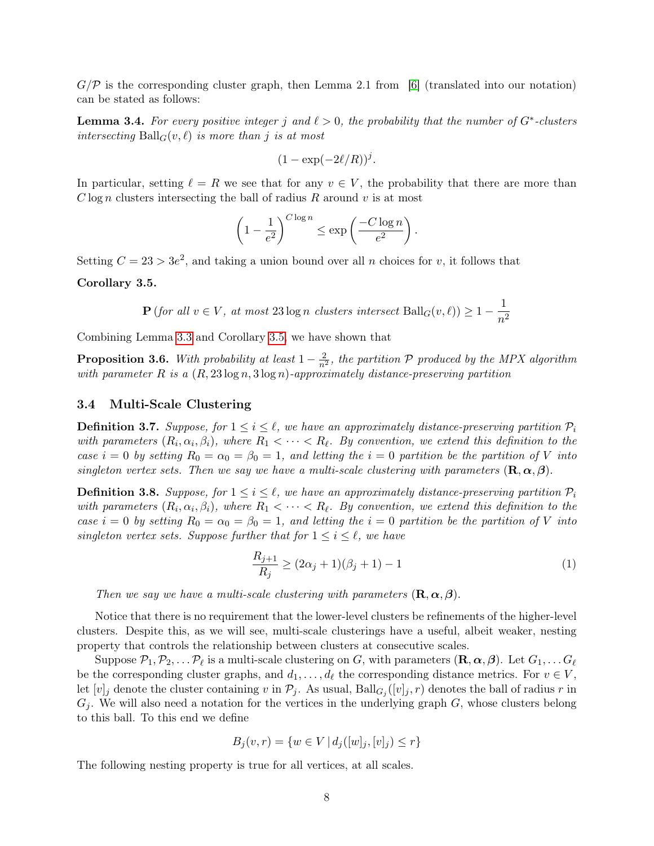$G/P$  is the corresponding cluster graph, then Lemma 2.1 from [\[6\]](#page-20-1) (translated into our notation) can be stated as follows:

**Lemma 3.4.** For every positive integer j and  $\ell > 0$ , the probability that the number of  $G^*$ -clusters intersecting  $\text{Ball}_G(v, \ell)$  is more than j is at most

$$
(1 - \exp(-2\ell/R))^j.
$$

In particular, setting  $\ell = R$  we see that for any  $v \in V$ , the probability that there are more than  $C \log n$  clusters intersecting the ball of radius R around v is at most

$$
\left(1 - \frac{1}{e^2}\right)^{C \log n} \le \exp\left(\frac{-C \log n}{e^2}\right).
$$

Setting  $C = 23 > 3e^2$ , and taking a union bound over all n choices for v, it follows that

<span id="page-8-0"></span>Corollary 3.5.

$$
\mathbf{P}(\text{for all } v \in V, \text{ at most } 23 \log n \text{ clusters intersect } \text{Ball}_G(v, \ell)) \ge 1 - \frac{1}{n^2}
$$

Combining Lemma [3.3](#page-7-1) and Corollary [3.5,](#page-8-0) we have shown that

**Proposition 3.6.** With probability at least  $1 - \frac{2}{n^2}$ , the partition P produced by the MPX algorithm with parameter R is a  $(R, 23 \log n, 3 \log n)$ -approximately distance-preserving partition

#### 3.4 Multi-Scale Clustering

**Definition 3.7.** Suppose, for  $1 \leq i \leq \ell$ , we have an approximately distance-preserving partition  $P_i$ with parameters  $(R_i, \alpha_i, \beta_i)$ , where  $R_1 < \cdots < R_\ell$ . By convention, we extend this definition to the case  $i = 0$  by setting  $R_0 = \alpha_0 = \beta_0 = 1$ , and letting the  $i = 0$  partition be the partition of V into singleton vertex sets. Then we say we have a multi-scale clustering with parameters  $(\mathbf{R}, \alpha, \beta)$ .

**Definition 3.8.** Suppose, for  $1 \leq i \leq \ell$ , we have an approximately distance-preserving partition  $P_i$ with parameters  $(R_i, \alpha_i, \beta_i)$ , where  $R_1 < \cdots < R_\ell$ . By convention, we extend this definition to the case  $i = 0$  by setting  $R_0 = \alpha_0 = \beta_0 = 1$ , and letting the  $i = 0$  partition be the partition of V into singleton vertex sets. Suppose further that for  $1 \leq i \leq \ell$ , we have

<span id="page-8-1"></span>
$$
\frac{R_{j+1}}{R_j} \ge (2\alpha_j + 1)(\beta_j + 1) - 1\tag{1}
$$

Then we say we have a multi-scale clustering with parameters  $(\mathbf{R}, \alpha, \beta)$ .

Notice that there is no requirement that the lower-level clusters be refinements of the higher-level clusters. Despite this, as we will see, multi-scale clusterings have a useful, albeit weaker, nesting property that controls the relationship between clusters at consecutive scales.

Suppose  $\mathcal{P}_1, \mathcal{P}_2, \ldots \mathcal{P}_\ell$  is a multi-scale clustering on G, with parameters  $(\mathbf{R}, \boldsymbol{\alpha}, \boldsymbol{\beta})$ . Let  $G_1, \ldots G_\ell$ be the corresponding cluster graphs, and  $d_1, \ldots, d_\ell$  the corresponding distance metrics. For  $v \in V$ , let  $[v]_j$  denote the cluster containing v in  $\mathcal{P}_j$ . As usual,  $\text{Ball}_{G_j}([v]_j, r)$  denotes the ball of radius r in  $G_j$ . We will also need a notation for the vertices in the underlying graph  $G$ , whose clusters belong to this ball. To this end we define

$$
B_j(v,r) = \{ w \in V \mid d_j([w]_j, [v]_j) \le r \}
$$

The following nesting property is true for all vertices, at all scales.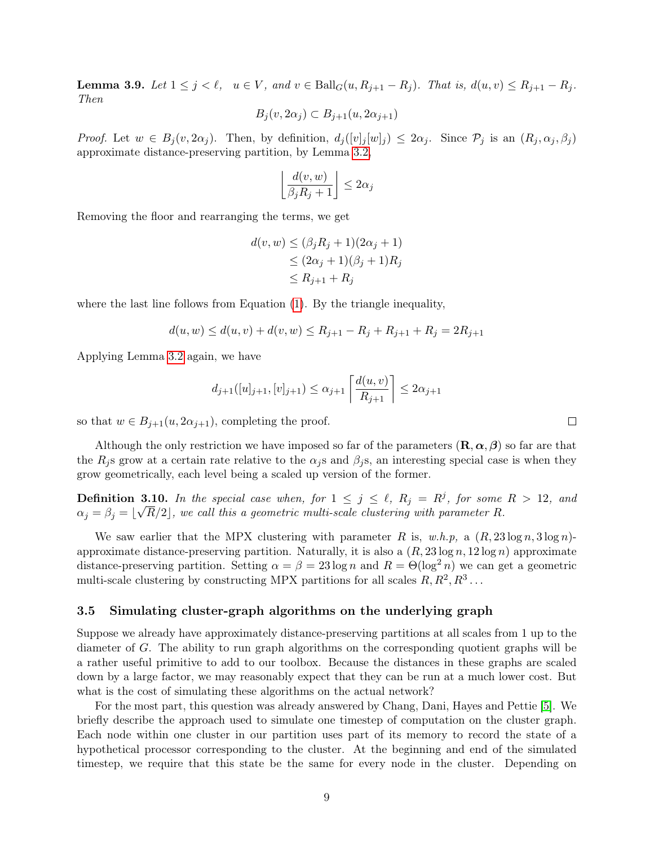<span id="page-9-0"></span>**Lemma 3.9.** Let  $1 \le j \le \ell$ ,  $u \in V$ , and  $v \in \text{Ball}_G(u, R_{j+1} - R_j)$ . That is,  $d(u, v) \le R_{j+1} - R_j$ . Then

$$
B_j(v, 2\alpha_j) \subset B_{j+1}(u, 2\alpha_{j+1})
$$

*Proof.* Let  $w \in B_j(v, 2\alpha_j)$ . Then, by definition,  $d_j([v]_j[w]_j) \leq 2\alpha_j$ . Since  $\mathcal{P}_j$  is an  $(R_j, \alpha_j, \beta_j)$ approximate distance-preserving partition, by Lemma [3.2,](#page-6-0)

$$
\left\lfloor \frac{d(v, w)}{\beta_j R_j + 1} \right\rfloor \le 2\alpha_j
$$

Removing the floor and rearranging the terms, we get

$$
d(v, w) \leq (\beta_j R_j + 1)(2\alpha_j + 1)
$$
  
\n
$$
\leq (2\alpha_j + 1)(\beta_j + 1)R_j
$$
  
\n
$$
\leq R_{j+1} + R_j
$$

where the last line follows from Equation [\(1\)](#page-8-1). By the triangle inequality,

$$
d(u, w) \le d(u, v) + d(v, w) \le R_{j+1} - R_j + R_{j+1} + R_j = 2R_{j+1}
$$

Applying Lemma [3.2](#page-6-0) again, we have

$$
d_{j+1}([u]_{j+1}, [v]_{j+1}) \leq \alpha_{j+1} \left[ \frac{d(u, v)}{R_{j+1}} \right] \leq 2\alpha_{j+1}
$$

so that  $w \in B_{j+1}(u, 2\alpha_{j+1}),$  completing the proof.

Although the only restriction we have imposed so far of the parameters  $(\mathbf{R}, \alpha, \beta)$  so far are that the  $R_i$ s grow at a certain rate relative to the  $\alpha_i$ s and  $\beta_i$ s, an interesting special case is when they grow geometrically, each level being a scaled up version of the former.

**Definition 3.10.** In the special case when, for  $1 \leq j \leq \ell$ ,  $R_j = R^j$ , for some  $R > 12$ , and  $\alpha_j = \beta_j = \lfloor \sqrt{R/2} \rfloor$ , we call this a geometric multi-scale clustering with parameter R.

We saw earlier that the MPX clustering with parameter R is, w.h.p, a  $(R, 23 \log n, 3 \log n)$ approximate distance-preserving partition. Naturally, it is also a  $(R, 23 \log n, 12 \log n)$  approximate distance-preserving partition. Setting  $\alpha = \beta = 23 \log n$  and  $R = \Theta(\log^2 n)$  we can get a geometric multi-scale clustering by constructing MPX partitions for all scales  $R, R^2, R^3 \dots$ 

#### 3.5 Simulating cluster-graph algorithms on the underlying graph

Suppose we already have approximately distance-preserving partitions at all scales from 1 up to the diameter of G. The ability to run graph algorithms on the corresponding quotient graphs will be a rather useful primitive to add to our toolbox. Because the distances in these graphs are scaled down by a large factor, we may reasonably expect that they can be run at a much lower cost. But what is the cost of simulating these algorithms on the actual network?

For the most part, this question was already answered by Chang, Dani, Hayes and Pettie [\[5\]](#page-20-0). We briefly describe the approach used to simulate one timestep of computation on the cluster graph. Each node within one cluster in our partition uses part of its memory to record the state of a hypothetical processor corresponding to the cluster. At the beginning and end of the simulated timestep, we require that this state be the same for every node in the cluster. Depending on

 $\Box$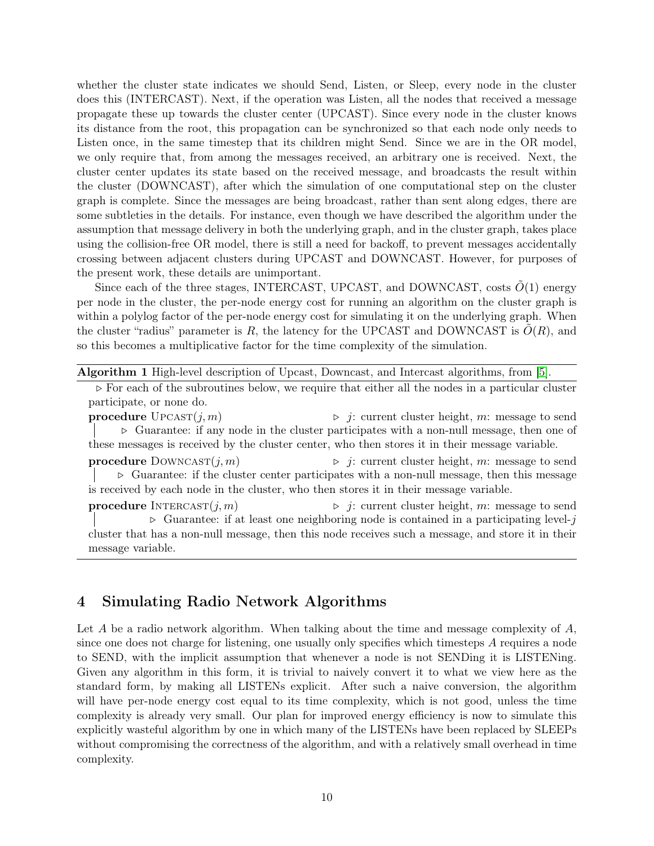whether the cluster state indicates we should Send, Listen, or Sleep, every node in the cluster does this (INTERCAST). Next, if the operation was Listen, all the nodes that received a message propagate these up towards the cluster center (UPCAST). Since every node in the cluster knows its distance from the root, this propagation can be synchronized so that each node only needs to Listen once, in the same timestep that its children might Send. Since we are in the OR model, we only require that, from among the messages received, an arbitrary one is received. Next, the cluster center updates its state based on the received message, and broadcasts the result within the cluster (DOWNCAST), after which the simulation of one computational step on the cluster graph is complete. Since the messages are being broadcast, rather than sent along edges, there are some subtleties in the details. For instance, even though we have described the algorithm under the assumption that message delivery in both the underlying graph, and in the cluster graph, takes place using the collision-free OR model, there is still a need for backoff, to prevent messages accidentally crossing between adjacent clusters during UPCAST and DOWNCAST. However, for purposes of the present work, these details are unimportant.

Since each of the three stages, INTERCAST, UPCAST, and DOWNCAST, costs  $O(1)$  energy per node in the cluster, the per-node energy cost for running an algorithm on the cluster graph is within a polylog factor of the per-node energy cost for simulating it on the underlying graph. When the cluster "radius" parameter is R, the latency for the UPCAST and DOWNCAST is  $O(R)$ , and so this becomes a multiplicative factor for the time complexity of the simulation.

Algorithm 1 High-level description of Upcast, Downcast, and Intercast algorithms, from [\[5\]](#page-20-0).

 $\triangleright$  For each of the subroutines below, we require that either all the nodes in a particular cluster participate, or none do.

**procedure**  $\text{UPCAST}(j, m)$  .  $\Rightarrow$  j: current cluster height, m: message to send  $\triangleright$  Guarantee: if any node in the cluster participates with a non-null message, then one of these messages is received by the cluster center, who then stores it in their message variable.

**procedure** DOWNCAST $(j, m)$   $\rightarrow$   $j$ : current cluster height, m: message to send  $\triangleright$  Guarantee: if the cluster center participates with a non-null message, then this message is received by each node in the cluster, who then stores it in their message variable.

**procedure** INTERCAST $(j, m)$   $\rightarrow$   $j$ : current cluster height, m: message to send  $\triangleright$  Guarantee: if at least one neighboring node is contained in a participating level-j cluster that has a non-null message, then this node receives such a message, and store it in their message variable.

# 4 Simulating Radio Network Algorithms

Let  $A$  be a radio network algorithm. When talking about the time and message complexity of  $A$ , since one does not charge for listening, one usually only specifies which timesteps A requires a node to SEND, with the implicit assumption that whenever a node is not SENDing it is LISTENing. Given any algorithm in this form, it is trivial to naively convert it to what we view here as the standard form, by making all LISTENs explicit. After such a naive conversion, the algorithm will have per-node energy cost equal to its time complexity, which is not good, unless the time complexity is already very small. Our plan for improved energy efficiency is now to simulate this explicitly wasteful algorithm by one in which many of the LISTENs have been replaced by SLEEPs without compromising the correctness of the algorithm, and with a relatively small overhead in time complexity.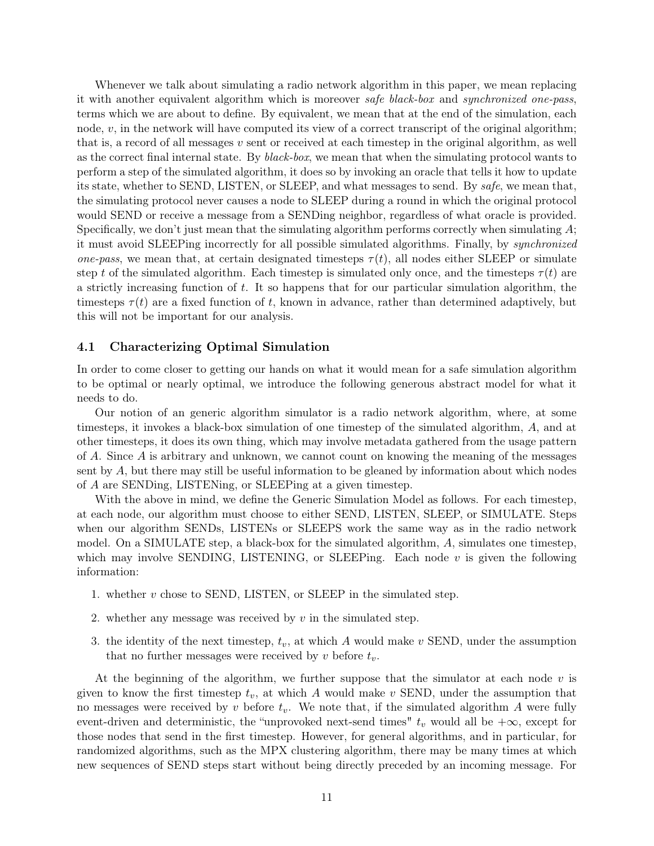Whenever we talk about simulating a radio network algorithm in this paper, we mean replacing it with another equivalent algorithm which is moreover safe black-box and synchronized one-pass, terms which we are about to define. By equivalent, we mean that at the end of the simulation, each node,  $v$ , in the network will have computed its view of a correct transcript of the original algorithm; that is, a record of all messages  $v$  sent or received at each timestep in the original algorithm, as well as the correct final internal state. By black-box, we mean that when the simulating protocol wants to perform a step of the simulated algorithm, it does so by invoking an oracle that tells it how to update its state, whether to SEND, LISTEN, or SLEEP, and what messages to send. By safe, we mean that, the simulating protocol never causes a node to SLEEP during a round in which the original protocol would SEND or receive a message from a SENDing neighbor, regardless of what oracle is provided. Specifically, we don't just mean that the simulating algorithm performs correctly when simulating  $A$ ; it must avoid SLEEPing incorrectly for all possible simulated algorithms. Finally, by synchronized one-pass, we mean that, at certain designated timesteps  $\tau(t)$ , all nodes either SLEEP or simulate step t of the simulated algorithm. Each timestep is simulated only once, and the timesteps  $\tau(t)$  are a strictly increasing function of t. It so happens that for our particular simulation algorithm, the timesteps  $\tau(t)$  are a fixed function of t, known in advance, rather than determined adaptively, but this will not be important for our analysis.

#### 4.1 Characterizing Optimal Simulation

In order to come closer to getting our hands on what it would mean for a safe simulation algorithm to be optimal or nearly optimal, we introduce the following generous abstract model for what it needs to do.

Our notion of an generic algorithm simulator is a radio network algorithm, where, at some timesteps, it invokes a black-box simulation of one timestep of the simulated algorithm, A, and at other timesteps, it does its own thing, which may involve metadata gathered from the usage pattern of A. Since A is arbitrary and unknown, we cannot count on knowing the meaning of the messages sent by A, but there may still be useful information to be gleaned by information about which nodes of A are SENDing, LISTENing, or SLEEPing at a given timestep.

With the above in mind, we define the Generic Simulation Model as follows. For each timestep, at each node, our algorithm must choose to either SEND, LISTEN, SLEEP, or SIMULATE. Steps when our algorithm SENDs, LISTENs or SLEEPS work the same way as in the radio network model. On a SIMULATE step, a black-box for the simulated algorithm,  $A$ , simulates one timestep. which may involve SENDING, LISTENING, or SLEEPing. Each node  $v$  is given the following information:

- 1. whether  $v$  chose to SEND, LISTEN, or SLEEP in the simulated step.
- 2. whether any message was received by  $v$  in the simulated step.
- 3. the identity of the next timestep,  $t_v$ , at which A would make v SEND, under the assumption that no further messages were received by v before  $t_v$ .

At the beginning of the algorithm, we further suppose that the simulator at each node  $v$  is given to know the first timestep  $t_v$ , at which A would make v SEND, under the assumption that no messages were received by v before  $t_v$ . We note that, if the simulated algorithm A were fully event-driven and deterministic, the "unprovoked next-send times"  $t_v$  would all be  $+\infty$ , except for those nodes that send in the first timestep. However, for general algorithms, and in particular, for randomized algorithms, such as the MPX clustering algorithm, there may be many times at which new sequences of SEND steps start without being directly preceded by an incoming message. For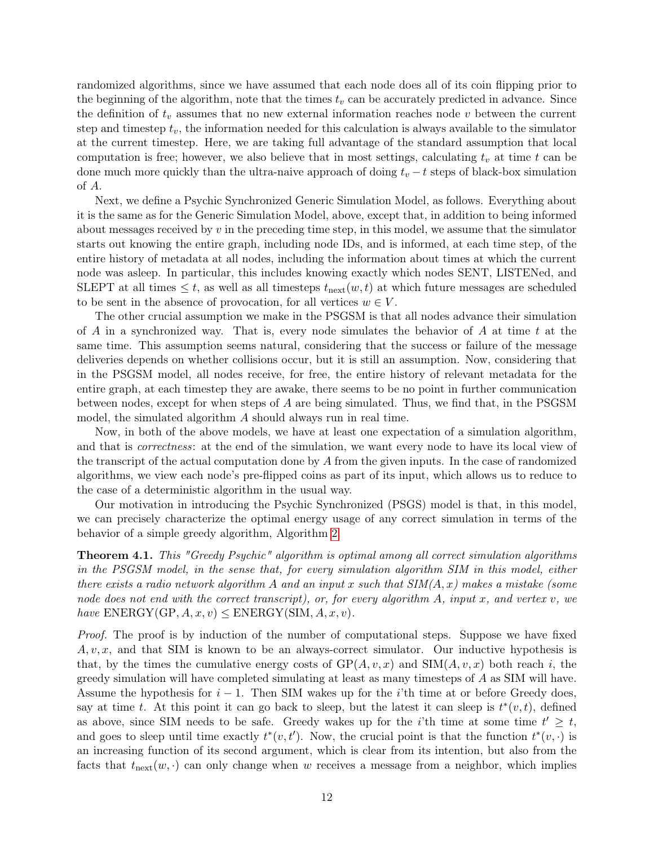randomized algorithms, since we have assumed that each node does all of its coin flipping prior to the beginning of the algorithm, note that the times  $t_v$  can be accurately predicted in advance. Since the definition of  $t_v$  assumes that no new external information reaches node v between the current step and timestep  $t_v$ , the information needed for this calculation is always available to the simulator at the current timestep. Here, we are taking full advantage of the standard assumption that local computation is free; however, we also believe that in most settings, calculating  $t_v$  at time t can be done much more quickly than the ultra-naive approach of doing  $t_v - t$  steps of black-box simulation of A.

Next, we define a Psychic Synchronized Generic Simulation Model, as follows. Everything about it is the same as for the Generic Simulation Model, above, except that, in addition to being informed about messages received by  $v$  in the preceding time step, in this model, we assume that the simulator starts out knowing the entire graph, including node IDs, and is informed, at each time step, of the entire history of metadata at all nodes, including the information about times at which the current node was asleep. In particular, this includes knowing exactly which nodes SENT, LISTENed, and SLEPT at all times  $\leq t$ , as well as all timesteps  $t_{\text{next}}(w, t)$  at which future messages are scheduled to be sent in the absence of provocation, for all vertices  $w \in V$ .

The other crucial assumption we make in the PSGSM is that all nodes advance their simulation of A in a synchronized way. That is, every node simulates the behavior of A at time t at the same time. This assumption seems natural, considering that the success or failure of the message deliveries depends on whether collisions occur, but it is still an assumption. Now, considering that in the PSGSM model, all nodes receive, for free, the entire history of relevant metadata for the entire graph, at each timestep they are awake, there seems to be no point in further communication between nodes, except for when steps of A are being simulated. Thus, we find that, in the PSGSM model, the simulated algorithm A should always run in real time.

Now, in both of the above models, we have at least one expectation of a simulation algorithm, and that is *correctness*: at the end of the simulation, we want every node to have its local view of the transcript of the actual computation done by A from the given inputs. In the case of randomized algorithms, we view each node's pre-flipped coins as part of its input, which allows us to reduce to the case of a deterministic algorithm in the usual way.

Our motivation in introducing the Psychic Synchronized (PSGS) model is that, in this model, we can precisely characterize the optimal energy usage of any correct simulation in terms of the behavior of a simple greedy algorithm, Algorithm [2.](#page-13-0)

<span id="page-12-0"></span>Theorem 4.1. This "Greedy Psychic" algorithm is optimal among all correct simulation algorithms in the PSGSM model, in the sense that, for every simulation algorithm SIM in this model, either there exists a radio network algorithm A and an input x such that  $SIM(A, x)$  makes a mistake (some node does not end with the correct transcript), or, for every algorithm  $A$ , input x, and vertex v, we have  $\text{ENERGY}(\text{GP}, A, x, v) \leq \text{ENERGY}(\text{SIM}, A, x, v).$ 

Proof. The proof is by induction of the number of computational steps. Suppose we have fixed  $A, v, x$ , and that SIM is known to be an always-correct simulator. Our inductive hypothesis is that, by the times the cumulative energy costs of  $GP(A, v, x)$  and  $SIM(A, v, x)$  both reach i, the greedy simulation will have completed simulating at least as many timesteps of A as SIM will have. Assume the hypothesis for  $i - 1$ . Then SIM wakes up for the i'th time at or before Greedy does, say at time t. At this point it can go back to sleep, but the latest it can sleep is  $t^*(v,t)$ , defined as above, since SIM needs to be safe. Greedy wakes up for the *i*'th time at some time  $t' \geq t$ , and goes to sleep until time exactly  $t^*(v, t')$ . Now, the crucial point is that the function  $t^*(v, \cdot)$  is an increasing function of its second argument, which is clear from its intention, but also from the facts that  $t_{\text{next}}(w, \cdot)$  can only change when w receives a message from a neighbor, which implies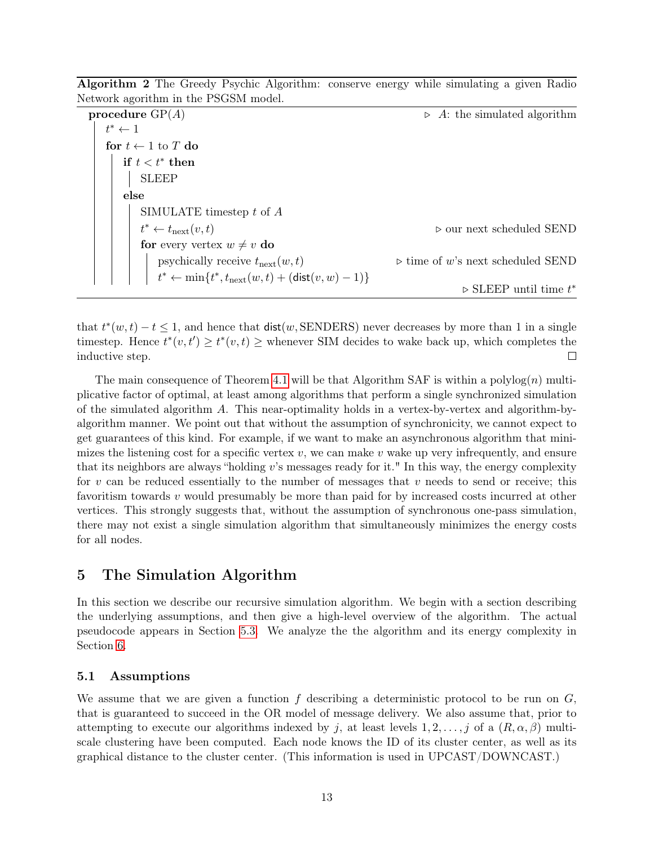Algorithm 2 The Greedy Psychic Algorithm: conserve energy while simulating a given Radio Network agorithm in the PSGSM model.

<span id="page-13-0"></span>

| procedure $GP(A)$                                                              | $\triangleright$ A: the simulated algorithm      |
|--------------------------------------------------------------------------------|--------------------------------------------------|
| $t^* \leftarrow 1$                                                             |                                                  |
| for $t \leftarrow 1$ to T do                                                   |                                                  |
| if $t < t^*$ then                                                              |                                                  |
| <b>SLEEP</b>                                                                   |                                                  |
| else                                                                           |                                                  |
| SIMULATE timestep $t$ of $A$                                                   |                                                  |
| $t^* \leftarrow t_{\text{next}}(v, t)$                                         | $\triangleright$ our next scheduled SEND         |
| for every vertex $w \neq v$ do                                                 |                                                  |
| psychically receive $t_{\text{next}}(w, t)$                                    | $\triangleright$ time of w's next scheduled SEND |
| $t^* \leftarrow \min\{t^*, t_{\text{next}}(w, t) + (\text{dist}(v, w) - 1)\}\$ |                                                  |
|                                                                                | $\triangleright$ SLEEP until time $t^*$          |

that  $t^*(w,t) - t \leq 1$ , and hence that  $dist(w, \text{SENDERS})$  never decreases by more than 1 in a single timestep. Hence  $t^*(v, t') \geq t^*(v, t) \geq$  whenever SIM decides to wake back up, which completes the inductive step.  $\Box$ 

The main consequence of Theorem [4.1](#page-12-0) will be that Algorithm SAF is within a polylog $(n)$  multiplicative factor of optimal, at least among algorithms that perform a single synchronized simulation of the simulated algorithm A. This near-optimality holds in a vertex-by-vertex and algorithm-byalgorithm manner. We point out that without the assumption of synchronicity, we cannot expect to get guarantees of this kind. For example, if we want to make an asynchronous algorithm that minimizes the listening cost for a specific vertex  $v$ , we can make v wake up very infrequently, and ensure that its neighbors are always "holding  $v$ 's messages ready for it." In this way, the energy complexity for v can be reduced essentially to the number of messages that v needs to send or receive; this favoritism towards  $v$  would presumably be more than paid for by increased costs incurred at other vertices. This strongly suggests that, without the assumption of synchronous one-pass simulation, there may not exist a single simulation algorithm that simultaneously minimizes the energy costs for all nodes.

# 5 The Simulation Algorithm

In this section we describe our recursive simulation algorithm. We begin with a section describing the underlying assumptions, and then give a high-level overview of the algorithm. The actual pseudocode appears in Section [5.3.](#page-15-0) We analyze the the algorithm and its energy complexity in Section [6.](#page-17-1)

### 5.1 Assumptions

We assume that we are given a function f describing a deterministic protocol to be run on  $G$ , that is guaranteed to succeed in the OR model of message delivery. We also assume that, prior to attempting to execute our algorithms indexed by j, at least levels  $1, 2, \ldots, j$  of a  $(R, \alpha, \beta)$  multiscale clustering have been computed. Each node knows the ID of its cluster center, as well as its graphical distance to the cluster center. (This information is used in UPCAST/DOWNCAST.)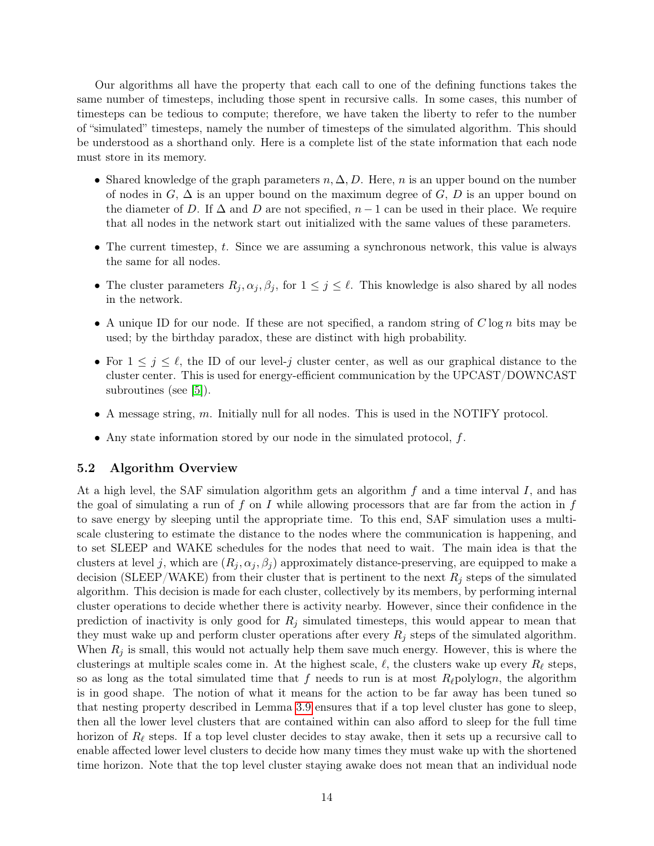Our algorithms all have the property that each call to one of the defining functions takes the same number of timesteps, including those spent in recursive calls. In some cases, this number of timesteps can be tedious to compute; therefore, we have taken the liberty to refer to the number of "simulated" timesteps, namely the number of timesteps of the simulated algorithm. This should be understood as a shorthand only. Here is a complete list of the state information that each node must store in its memory.

- Shared knowledge of the graph parameters  $n, \Delta, D$ . Here, n is an upper bound on the number of nodes in  $G, \Delta$  is an upper bound on the maximum degree of  $G, D$  is an upper bound on the diameter of D. If  $\Delta$  and D are not specified,  $n-1$  can be used in their place. We require that all nodes in the network start out initialized with the same values of these parameters.
- The current timestep, t. Since we are assuming a synchronous network, this value is always the same for all nodes.
- The cluster parameters  $R_j, \alpha_j, \beta_j$ , for  $1 \leq j \leq \ell$ . This knowledge is also shared by all nodes in the network.
- A unique ID for our node. If these are not specified, a random string of  $C \log n$  bits may be used; by the birthday paradox, these are distinct with high probability.
- For  $1 \leq j \leq \ell$ , the ID of our level-j cluster center, as well as our graphical distance to the cluster center. This is used for energy-efficient communication by the UPCAST/DOWNCAST subroutines (see [\[5\]](#page-20-0)).
- A message string,  $m$ . Initially null for all nodes. This is used in the NOTIFY protocol.
- Any state information stored by our node in the simulated protocol,  $f$ .

#### 5.2 Algorithm Overview

At a high level, the SAF simulation algorithm gets an algorithm  $f$  and a time interval  $I$ , and has the goal of simulating a run of  $f$  on  $I$  while allowing processors that are far from the action in  $f$ to save energy by sleeping until the appropriate time. To this end, SAF simulation uses a multiscale clustering to estimate the distance to the nodes where the communication is happening, and to set SLEEP and WAKE schedules for the nodes that need to wait. The main idea is that the clusters at level j, which are  $(R_i, \alpha_i, \beta_i)$  approximately distance-preserving, are equipped to make a decision (SLEEP/WAKE) from their cluster that is pertinent to the next  $R_j$  steps of the simulated algorithm. This decision is made for each cluster, collectively by its members, by performing internal cluster operations to decide whether there is activity nearby. However, since their confidence in the prediction of inactivity is only good for  $R_j$  simulated timesteps, this would appear to mean that they must wake up and perform cluster operations after every  $R_i$  steps of the simulated algorithm. When  $R_j$  is small, this would not actually help them save much energy. However, this is where the clusterings at multiple scales come in. At the highest scale,  $\ell$ , the clusters wake up every  $R_\ell$  steps, so as long as the total simulated time that f needs to run is at most  $R_{\ell}$  polylogn, the algorithm is in good shape. The notion of what it means for the action to be far away has been tuned so that nesting property described in Lemma [3.9](#page-9-0) ensures that if a top level cluster has gone to sleep, then all the lower level clusters that are contained within can also afford to sleep for the full time horizon of  $R_\ell$  steps. If a top level cluster decides to stay awake, then it sets up a recursive call to enable affected lower level clusters to decide how many times they must wake up with the shortened time horizon. Note that the top level cluster staying awake does not mean that an individual node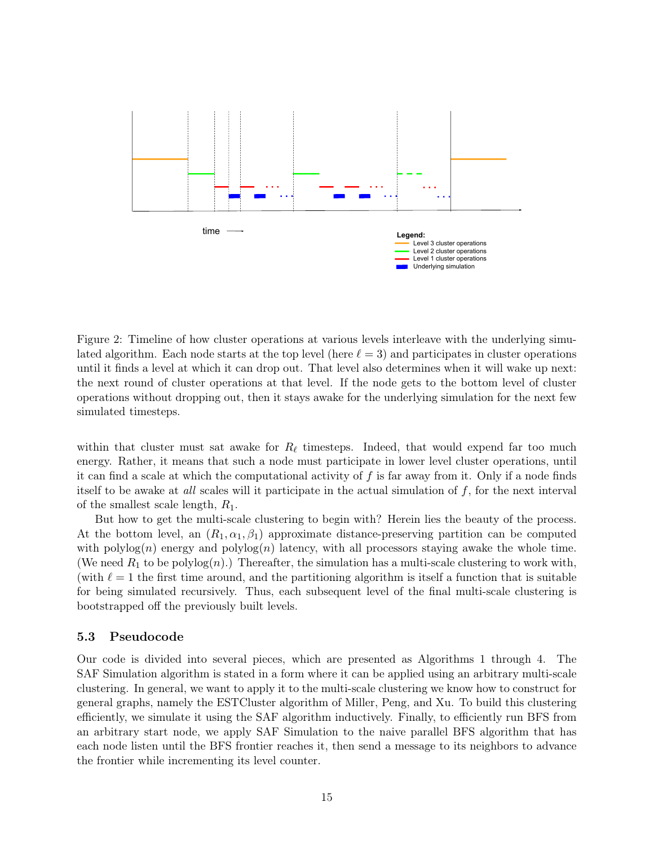

Figure 2: Timeline of how cluster operations at various levels interleave with the underlying simulated algorithm. Each node starts at the top level (here  $\ell = 3$ ) and participates in cluster operations until it finds a level at which it can drop out. That level also determines when it will wake up next: the next round of cluster operations at that level. If the node gets to the bottom level of cluster operations without dropping out, then it stays awake for the underlying simulation for the next few simulated timesteps.

within that cluster must sat awake for  $R_\ell$  timesteps. Indeed, that would expend far too much energy. Rather, it means that such a node must participate in lower level cluster operations, until it can find a scale at which the computational activity of  $f$  is far away from it. Only if a node finds itself to be awake at all scales will it participate in the actual simulation of f, for the next interval of the smallest scale length,  $R_1$ .

But how to get the multi-scale clustering to begin with? Herein lies the beauty of the process. At the bottom level, an  $(R_1, \alpha_1, \beta_1)$  approximate distance-preserving partition can be computed with  $\text{polylog}(n)$  energy and  $\text{polylog}(n)$  latency, with all processors staying awake the whole time. (We need  $R_1$  to be polylog $(n)$ .) Thereafter, the simulation has a multi-scale clustering to work with, (with  $\ell = 1$  the first time around, and the partitioning algorithm is itself a function that is suitable for being simulated recursively. Thus, each subsequent level of the final multi-scale clustering is bootstrapped off the previously built levels.

#### <span id="page-15-0"></span>5.3 Pseudocode

Our code is divided into several pieces, which are presented as Algorithms 1 through 4. The SAF Simulation algorithm is stated in a form where it can be applied using an arbitrary multi-scale clustering. In general, we want to apply it to the multi-scale clustering we know how to construct for general graphs, namely the ESTCluster algorithm of Miller, Peng, and Xu. To build this clustering efficiently, we simulate it using the SAF algorithm inductively. Finally, to efficiently run BFS from an arbitrary start node, we apply SAF Simulation to the naive parallel BFS algorithm that has each node listen until the BFS frontier reaches it, then send a message to its neighbors to advance the frontier while incrementing its level counter.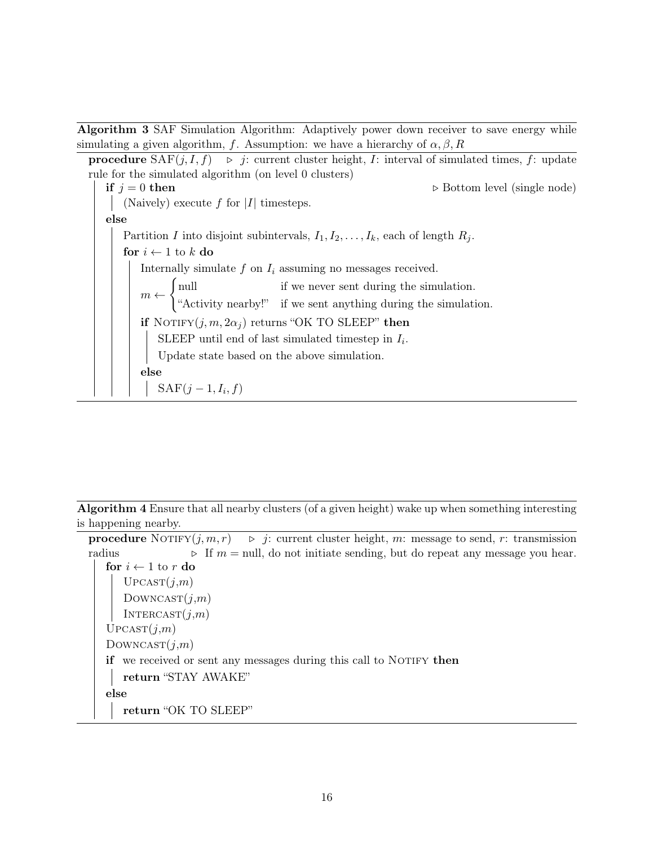Algorithm 3 SAF Simulation Algorithm: Adaptively power down receiver to save energy while simulating a given algorithm, f. Assumption: we have a hierarchy of  $\alpha, \beta, R$ 

<span id="page-16-0"></span>**procedure**  $\text{SAF}(j, I, f) \Rightarrow j:$  current cluster height, I: interval of simulated times, f: update rule for the simulated algorithm (on level 0 clusters) if  $j = 0$  then  $\triangleright$  Bottom level (single node) (Naively) execute f for  $|I|$  timesteps. else Partition I into disjoint subintervals,  $I_1, I_2, \ldots, I_k$ , each of length  $R_i$ . for  $i \leftarrow 1$  to k do Internally simulate  $f$  on  $I_i$  assuming no messages received.  $m \leftarrow$ ( null if we never sent during the simulation. "Activity nearby!" if we sent anything during the simulation. if NOTIFY $(j, m, 2\alpha_j)$  returns "OK TO SLEEP" then SLEEP until end of last simulated timestep in  $I_i$ . Update state based on the above simulation. else  $\text{SAF}(j-1, I_i, f)$ 

Algorithm 4 Ensure that all nearby clusters (of a given height) wake up when something interesting is happening nearby.

**procedure** NOTIFY $(j, m, r) \rightarrow j$ : current cluster height, m: message to send, r: transmission radius  $\triangleright$  If  $m = \text{null}$ , do not initiate sending, but do repeat any message you hear. for  $i \leftarrow 1$  to r do  $UPCAST(j,m)$  $Downcast(j,m)$  $INTERCAST(j,m)$  $UPCAST(j,m)$  $Downcast(j,m)$ if we received or sent any messages during this call to NOTIFY then return "STAY AWAKE" else return "OK TO SLEEP"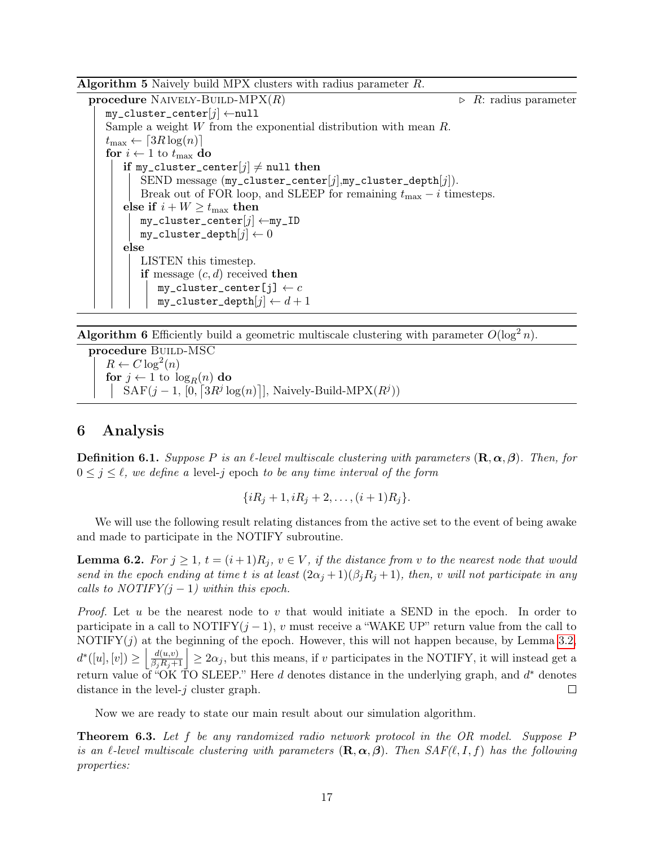Algorithm 5 Naively build MPX clusters with radius parameter R.

<span id="page-17-4"></span>**procedure** NAIVELY-BUILD-MPX $(R)$   $\triangleright$  R: radius parameter  $my\_cluster\_center[j] \leftarrow null$ Sample a weight W from the exponential distribution with mean R.  $t_{\max} \leftarrow \lceil 3R \log(n) \rceil$ for  $i \leftarrow 1$  to  $t_{\text{max}}$  do if my\_cluster\_center[j]  $\neq$  null then SEND message  $(my_{\text{-}cluster_{\text{-}}center[j],my_{\text{-}}cluster_{\text{-}}depth[j]).$ Break out of FOR loop, and SLEEP for remaining  $t_{\text{max}} - i$  timesteps. else if  $i + W \ge t_{\text{max}}$  then  $my\_cluster\_center[j] \leftarrow my\_ID$  $my\_cluster\_depth[j] \leftarrow 0$ else LISTEN this timestep. if message  $(c, d)$  received then  $my\_cluster\_center[j] \leftarrow c$  $my\_cluster\_depth[j] \leftarrow d + 1$ 

**Algorithm 6** Efficiently build a geometric multiscale clustering with parameter  $O(\log^2 n)$ .

<span id="page-17-3"></span>procedure BUILD-MSC  $R \leftarrow C \log^2(n)$ for  $j \leftarrow 1$  to  $\log_R(n)$  do  $SAF(j-1, [0, [3R<sup>j</sup> \log(n)]],$  Naively-Build-MPX $(R<sup>j</sup>)$ )

# <span id="page-17-1"></span>6 Analysis

**Definition 6.1.** Suppose P is an  $\ell$ -level multiscale clustering with parameters  $(\mathbf{R}, \alpha, \beta)$ . Then, for  $0 \leq j \leq \ell$ , we define a level-j epoch to be any time interval of the form

$$
\{iR_j+1, iR_j+2, \dots, (i+1)R_j\}.
$$

We will use the following result relating distances from the active set to the event of being awake and made to participate in the NOTIFY subroutine.

<span id="page-17-2"></span>**Lemma 6.2.** For  $j \geq 1$ ,  $t = (i+1)R_j$ ,  $v \in V$ , if the distance from v to the nearest node that would send in the epoch ending at time t is at least  $(2\alpha_j+1)(\beta_jR_j+1)$ , then, v will not participate in any calls to  $NOTIFY(j-1)$  within this epoch.

*Proof.* Let u be the nearest node to v that would initiate a SEND in the epoch. In order to participate in a call to NOTIFY $(j-1)$ , v must receive a "WAKE UP" return value from the call to NOTIFY $(j)$  at the beginning of the epoch. However, this will not happen because, by Lemma [3.2,](#page-6-0)  $\left|\frac{d(u,v)}{\beta_j R_j+1}\right| \geq 2\alpha_j$ , but this means, if v participates in the NOTIFY, it will instead get a  $d^*([u],[v]) \geq$ return value of "OK TO SLEEP." Here d denotes distance in the underlying graph, and  $d^*$  denotes distance in the level- $i$  cluster graph.  $\Box$ 

Now we are ready to state our main result about our simulation algorithm.

<span id="page-17-0"></span>**Theorem 6.3.** Let f be any randomized radio network protocol in the OR model. Suppose P is an  $\ell$ -level multiscale clustering with parameters  $(\mathbf{R}, \alpha, \beta)$ . Then  $SAF(\ell, I, f)$  has the following properties: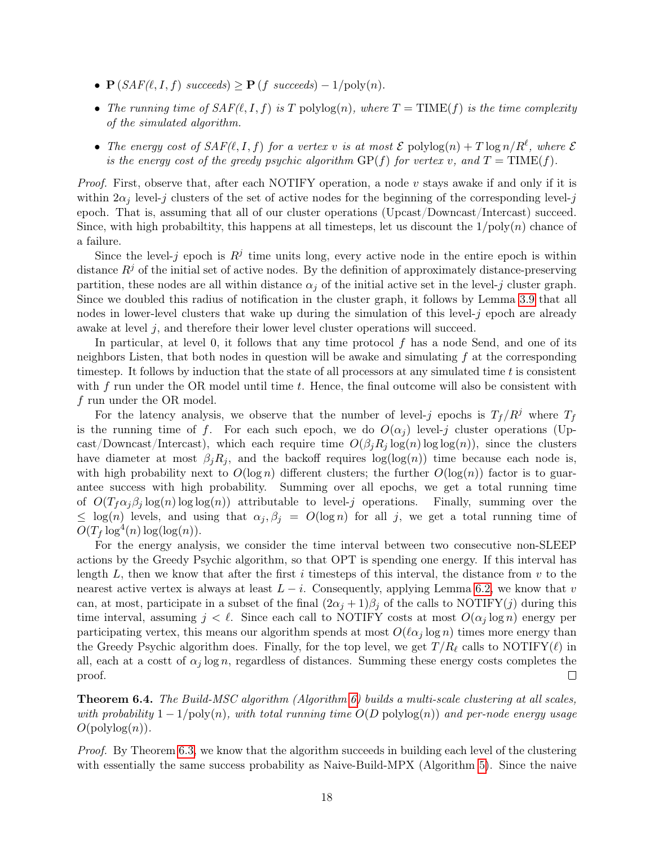- $\mathbf{P}(SAF(\ell, I, f) \text{ succeeds}) \geq \mathbf{P}(f \text{ succeeds}) 1/\text{poly}(n).$
- The running time of  $SAF(\ell, I, f)$  is T polylog(n), where  $T = TIME(f)$  is the time complexity of the simulated algorithm.
- The energy cost of  $SAF(\ell, I, f)$  for a vertex v is at most  $\mathcal E$  polylog $(n) + T \log n/R^{\ell}$ , where  $\mathcal E$ is the energy cost of the greedy psychic algorithm  $GP(f)$  for vertex v, and  $T = TIME(f)$ .

*Proof.* First, observe that, after each NOTIFY operation, a node  $v$  stays awake if and only if it is within  $2\alpha_j$  level-j clusters of the set of active nodes for the beginning of the corresponding level-j epoch. That is, assuming that all of our cluster operations (Upcast/Downcast/Intercast) succeed. Since, with high probabiltity, this happens at all timesteps, let us discount the  $1/\text{poly}(n)$  chance of a failure.

Since the level-j epoch is  $R^j$  time units long, every active node in the entire epoch is within distance  $R<sup>j</sup>$  of the initial set of active nodes. By the definition of approximately distance-preserving partition, these nodes are all within distance  $\alpha_i$  of the initial active set in the level-j cluster graph. Since we doubled this radius of notification in the cluster graph, it follows by Lemma [3.9](#page-9-0) that all nodes in lower-level clusters that wake up during the simulation of this level- $j$  epoch are already awake at level  $j$ , and therefore their lower level cluster operations will succeed.

In particular, at level 0, it follows that any time protocol  $f$  has a node Send, and one of its neighbors Listen, that both nodes in question will be awake and simulating  $f$  at the corresponding timestep. It follows by induction that the state of all processors at any simulated time t is consistent with  $f$  run under the OR model until time  $t$ . Hence, the final outcome will also be consistent with f run under the OR model.

For the latency analysis, we observe that the number of level-j epochs is  $T_f/R^j$  where  $T_f$ is the running time of f. For each such epoch, we do  $O(\alpha_i)$  level-j cluster operations (Upcast/Downcast/Intercast), which each require time  $O(\beta_i R_j \log(n) \log \log(n))$ , since the clusters have diameter at most  $\beta_i R_i$ , and the backoff requires  $\log(\log(n))$  time because each node is, with high probability next to  $O(\log n)$  different clusters; the further  $O(\log(n))$  factor is to guarantee success with high probability. Summing over all epochs, we get a total running time of  $O(T_f \alpha_j \beta_j \log(n) \log \log(n))$  attributable to level-j operations. Finally, summing over the  $\leq \log(n)$  levels, and using that  $\alpha_j, \beta_j = O(\log n)$  for all j, we get a total running time of  $O(T_f \log^4(n) \log(\log(n)).$ 

For the energy analysis, we consider the time interval between two consecutive non-SLEEP actions by the Greedy Psychic algorithm, so that OPT is spending one energy. If this interval has length L, then we know that after the first i timesteps of this interval, the distance from  $v$  to the nearest active vertex is always at least  $L - i$ . Consequently, applying Lemma [6.2,](#page-17-2) we know that v can, at most, participate in a subset of the final  $(2\alpha_j + 1)\beta_j$  of the calls to NOTIFY(j) during this time interval, assuming  $j < \ell$ . Since each call to NOTIFY costs at most  $O(\alpha_j \log n)$  energy per participating vertex, this means our algorithm spends at most  $O(\ell \alpha_i \log n)$  times more energy than the Greedy Psychic algorithm does. Finally, for the top level, we get  $T/R_{\ell}$  calls to NOTIFY( $\ell$ ) in all, each at a costt of  $\alpha_j \log n$ , regardless of distances. Summing these energy costs completes the proof.  $\Box$ 

<span id="page-18-0"></span>**Theorem 6.4.** The Build-MSC algorithm (Algorithm [6\)](#page-17-3) builds a multi-scale clustering at all scales, with probability  $1 - 1/\text{poly}(n)$ , with total running time  $O(D \text{ polylog}(n))$  and per-node energy usage  $O(polylog(n)).$ 

Proof. By Theorem [6.3,](#page-17-0) we know that the algorithm succeeds in building each level of the clustering with essentially the same success probability as Naive-Build-MPX (Algorithm [5\)](#page-17-4). Since the naive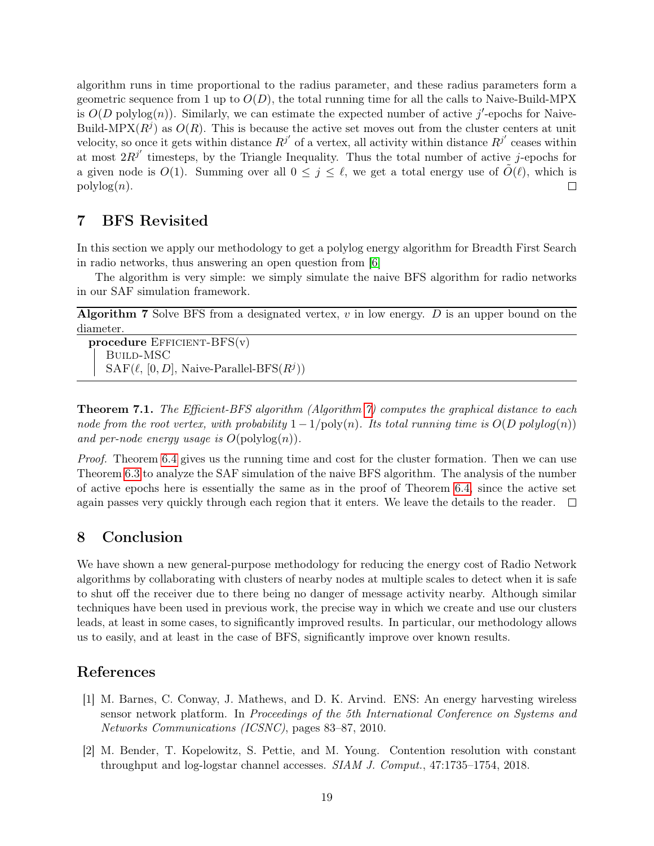algorithm runs in time proportional to the radius parameter, and these radius parameters form a geometric sequence from 1 up to  $O(D)$ , the total running time for all the calls to Naive-Build-MPX is  $O(D \text{ polylog}(n))$ . Similarly, we can estimate the expected number of active j'-epochs for Naive-Build-MPX $(R^{j})$  as  $O(R)$ . This is because the active set moves out from the cluster centers at unit velocity, so once it gets within distance  $R^{j'}$  of a vertex, all activity within distance  $R^{j'}$  ceases within at most  $2R^{j'}$  timesteps, by the Triangle Inequality. Thus the total number of active j-epochs for a given node is  $O(1)$ . Summing over all  $0 \leq j \leq \ell$ , we get a total energy use of  $\tilde{O}(\ell)$ , which is  $\mathrm{polylog}(n)$ .  $\Box$ 

# 7 BFS Revisited

In this section we apply our methodology to get a polylog energy algorithm for Breadth First Search in radio networks, thus answering an open question from [\[6\]](#page-20-1)

The algorithm is very simple: we simply simulate the naive BFS algorithm for radio networks in our SAF simulation framework.

Algorithm 7 Solve BFS from a designated vertex,  $v$  in low energy.  $D$  is an upper bound on the diameter.

<span id="page-19-2"></span>procedure  $E$ FFICIENT- $BFS(v)$ Build-MSC  $\text{SAF}(\ell, [0, D], \text{Naive-Parallel-BFS}(R^j))$ 

**Theorem 7.1.** The Efficient-BFS algorithm (Algorithm [7\)](#page-19-2) computes the graphical distance to each node from the root vertex, with probability  $1 - 1/\text{poly}(n)$ . Its total running time is  $O(D \text{ polylog}(n))$ and per-node energy usage is  $O(\text{polylog}(n))$ .

Proof. Theorem [6.4](#page-18-0) gives us the running time and cost for the cluster formation. Then we can use Theorem [6.3](#page-17-0) to analyze the SAF simulation of the naive BFS algorithm. The analysis of the number of active epochs here is essentially the same as in the proof of Theorem [6.4,](#page-18-0) since the active set again passes very quickly through each region that it enters. We leave the details to the reader.  $\Box$ 

# 8 Conclusion

We have shown a new general-purpose methodology for reducing the energy cost of Radio Network algorithms by collaborating with clusters of nearby nodes at multiple scales to detect when it is safe to shut off the receiver due to there being no danger of message activity nearby. Although similar techniques have been used in previous work, the precise way in which we create and use our clusters leads, at least in some cases, to significantly improved results. In particular, our methodology allows us to easily, and at least in the case of BFS, significantly improve over known results.

# References

- <span id="page-19-0"></span>[1] M. Barnes, C. Conway, J. Mathews, and D. K. Arvind. ENS: An energy harvesting wireless sensor network platform. In Proceedings of the 5th International Conference on Systems and Networks Communications (ICSNC), pages 83–87, 2010.
- <span id="page-19-1"></span>[2] M. Bender, T. Kopelowitz, S. Pettie, and M. Young. Contention resolution with constant throughput and log-logstar channel accesses. SIAM J. Comput., 47:1735–1754, 2018.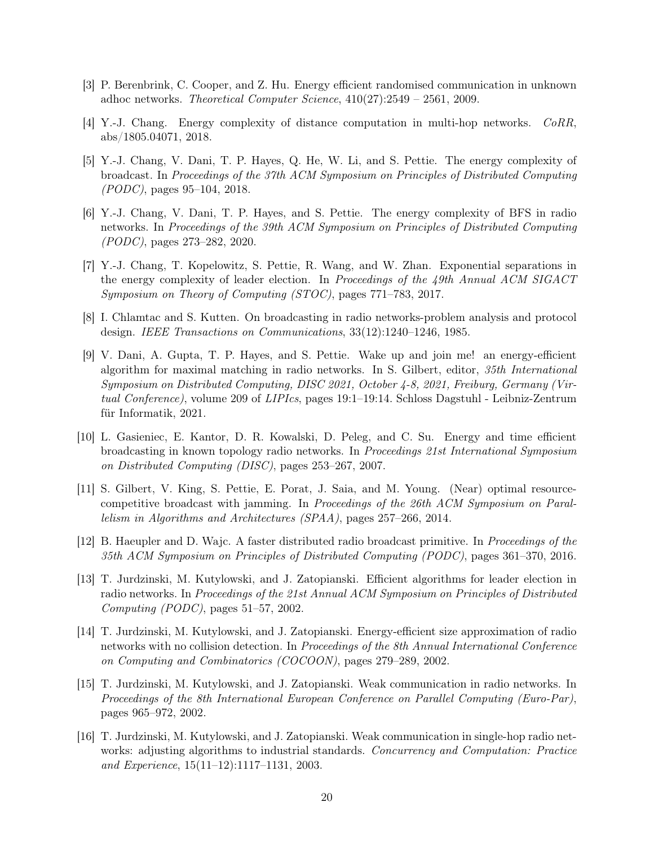- <span id="page-20-10"></span>[3] P. Berenbrink, C. Cooper, and Z. Hu. Energy efficient randomised communication in unknown adhoc networks. Theoretical Computer Science, 410(27):2549 – 2561, 2009.
- <span id="page-20-12"></span>[4] Y.-J. Chang. Energy complexity of distance computation in multi-hop networks. CoRR, abs/1805.04071, 2018.
- <span id="page-20-0"></span>[5] Y.-J. Chang, V. Dani, T. P. Hayes, Q. He, W. Li, and S. Pettie. The energy complexity of broadcast. In Proceedings of the 37th ACM Symposium on Principles of Distributed Computing (PODC), pages 95–104, 2018.
- <span id="page-20-1"></span>[6] Y.-J. Chang, V. Dani, T. P. Hayes, and S. Pettie. The energy complexity of BFS in radio networks. In Proceedings of the 39th ACM Symposium on Principles of Distributed Computing (PODC), pages 273–282, 2020.
- <span id="page-20-4"></span>[7] Y.-J. Chang, T. Kopelowitz, S. Pettie, R. Wang, and W. Zhan. Exponential separations in the energy complexity of leader election. In Proceedings of the 49th Annual ACM SIGACT Symposium on Theory of Computing (STOC), pages 771–783, 2017.
- <span id="page-20-3"></span>[8] I. Chlamtac and S. Kutten. On broadcasting in radio networks-problem analysis and protocol design. IEEE Transactions on Communications, 33(12):1240–1246, 1985.
- <span id="page-20-2"></span>[9] V. Dani, A. Gupta, T. P. Hayes, and S. Pettie. Wake up and join me! an energy-efficient algorithm for maximal matching in radio networks. In S. Gilbert, editor, 35th International Symposium on Distributed Computing, DISC 2021, October 4-8, 2021, Freiburg, Germany (Virtual Conference), volume 209 of LIPIcs, pages 19:1–19:14. Schloss Dagstuhl - Leibniz-Zentrum für Informatik, 2021.
- <span id="page-20-9"></span>[10] L. Gasieniec, E. Kantor, D. R. Kowalski, D. Peleg, and C. Su. Energy and time efficient broadcasting in known topology radio networks. In Proceedings 21st International Symposium on Distributed Computing (DISC), pages 253–267, 2007.
- <span id="page-20-11"></span>[11] S. Gilbert, V. King, S. Pettie, E. Porat, J. Saia, and M. Young. (Near) optimal resourcecompetitive broadcast with jamming. In Proceedings of the 26th ACM Symposium on Parallelism in Algorithms and Architectures (SPAA), pages 257–266, 2014.
- <span id="page-20-13"></span>[12] B. Haeupler and D. Wajc. A faster distributed radio broadcast primitive. In Proceedings of the 35th ACM Symposium on Principles of Distributed Computing (PODC), pages 361–370, 2016.
- <span id="page-20-6"></span>[13] T. Jurdzinski, M. Kutylowski, and J. Zatopianski. Efficient algorithms for leader election in radio networks. In Proceedings of the 21st Annual ACM Symposium on Principles of Distributed Computing (PODC), pages 51–57, 2002.
- <span id="page-20-5"></span>[14] T. Jurdzinski, M. Kutylowski, and J. Zatopianski. Energy-efficient size approximation of radio networks with no collision detection. In Proceedings of the 8th Annual International Conference on Computing and Combinatorics (COCOON), pages 279–289, 2002.
- <span id="page-20-7"></span>[15] T. Jurdzinski, M. Kutylowski, and J. Zatopianski. Weak communication in radio networks. In Proceedings of the 8th International European Conference on Parallel Computing (Euro-Par), pages 965–972, 2002.
- <span id="page-20-8"></span>[16] T. Jurdzinski, M. Kutylowski, and J. Zatopianski. Weak communication in single-hop radio networks: adjusting algorithms to industrial standards. Concurrency and Computation: Practice and Experience, 15(11–12):1117–1131, 2003.